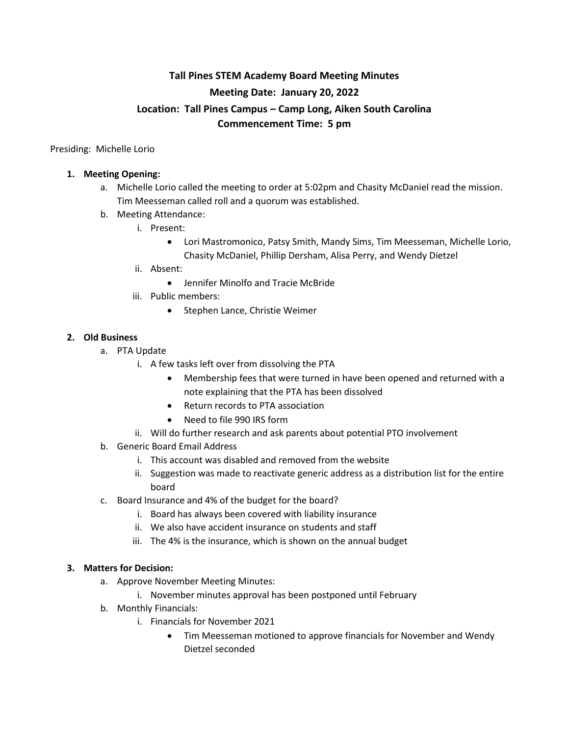# **Tall Pines STEM Academy Board Meeting Minutes Meeting Date: January 20, 2022 Location: Tall Pines Campus – Camp Long, Aiken South Carolina Commencement Time: 5 pm**

Presiding: Michelle Lorio

## **1. Meeting Opening:**

- a. Michelle Lorio called the meeting to order at 5:02pm and Chasity McDaniel read the mission. Tim Meesseman called roll and a quorum was established.
- b. Meeting Attendance:
	- i. Present:
		- Lori Mastromonico, Patsy Smith, Mandy Sims, Tim Meesseman, Michelle Lorio, Chasity McDaniel, Phillip Dersham, Alisa Perry, and Wendy Dietzel
	- ii. Absent:
		- Jennifer Minolfo and Tracie McBride
	- iii. Public members:
		- Stephen Lance, Christie Weimer

## **2. Old Business**

- a. PTA Update
	- i. A few tasks left over from dissolving the PTA
		- Membership fees that were turned in have been opened and returned with a note explaining that the PTA has been dissolved
		- Return records to PTA association
		- Need to file 990 IRS form
	- ii. Will do further research and ask parents about potential PTO involvement
- b. Generic Board Email Address
	- i. This account was disabled and removed from the website
	- ii. Suggestion was made to reactivate generic address as a distribution list for the entire board
- c. Board Insurance and 4% of the budget for the board?
	- i. Board has always been covered with liability insurance
	- ii. We also have accident insurance on students and staff
	- iii. The 4% is the insurance, which is shown on the annual budget

### **3. Matters for Decision:**

- a. Approve November Meeting Minutes:
	- i. November minutes approval has been postponed until February
- b. Monthly Financials:
	- i. Financials for November 2021
		- Tim Meesseman motioned to approve financials for November and Wendy Dietzel seconded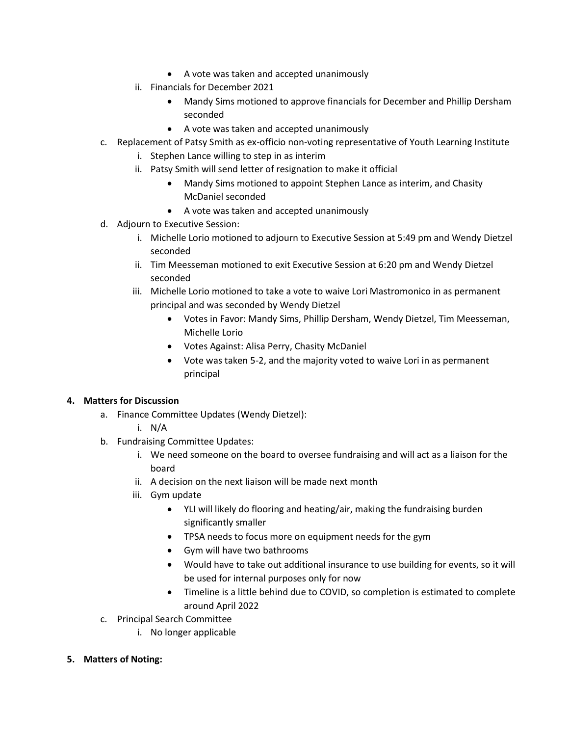- A vote was taken and accepted unanimously
- ii. Financials for December 2021
	- Mandy Sims motioned to approve financials for December and Phillip Dersham seconded
	- A vote was taken and accepted unanimously
- c. Replacement of Patsy Smith as ex-officio non-voting representative of Youth Learning Institute
	- i. Stephen Lance willing to step in as interim
	- ii. Patsy Smith will send letter of resignation to make it official
		- Mandy Sims motioned to appoint Stephen Lance as interim, and Chasity McDaniel seconded
		- A vote was taken and accepted unanimously
- d. Adjourn to Executive Session:
	- i. Michelle Lorio motioned to adjourn to Executive Session at 5:49 pm and Wendy Dietzel seconded
	- ii. Tim Meesseman motioned to exit Executive Session at 6:20 pm and Wendy Dietzel seconded
	- iii. Michelle Lorio motioned to take a vote to waive Lori Mastromonico in as permanent principal and was seconded by Wendy Dietzel
		- Votes in Favor: Mandy Sims, Phillip Dersham, Wendy Dietzel, Tim Meesseman, Michelle Lorio
		- Votes Against: Alisa Perry, Chasity McDaniel
		- Vote was taken 5-2, and the majority voted to waive Lori in as permanent principal

## **4. Matters for Discussion**

- a. Finance Committee Updates (Wendy Dietzel):
	- i. N/A
- b. Fundraising Committee Updates:
	- i. We need someone on the board to oversee fundraising and will act as a liaison for the board
	- ii. A decision on the next liaison will be made next month
	- iii. Gym update
		- YLI will likely do flooring and heating/air, making the fundraising burden significantly smaller
		- TPSA needs to focus more on equipment needs for the gym
		- Gym will have two bathrooms
		- Would have to take out additional insurance to use building for events, so it will be used for internal purposes only for now
		- Timeline is a little behind due to COVID, so completion is estimated to complete around April 2022
- c. Principal Search Committee
	- i. No longer applicable
- **5. Matters of Noting:**